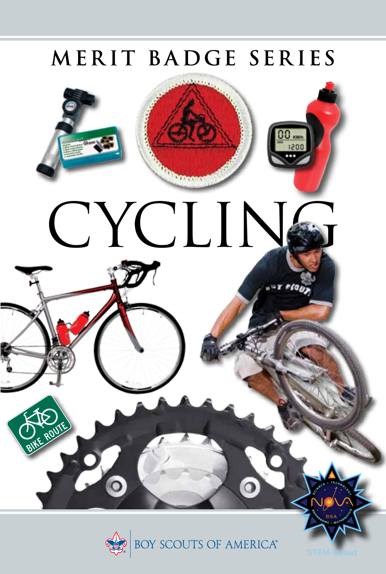### MERIT BADGE SERIES





STEM-Based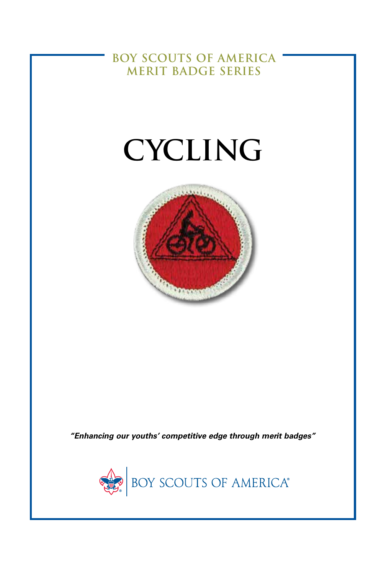**BOY SCOUTS OF AMERICA MERIT BADGE SERIES**

# **CYCLING**



*"Enhancing our youths' competitive edge through merit badges"*

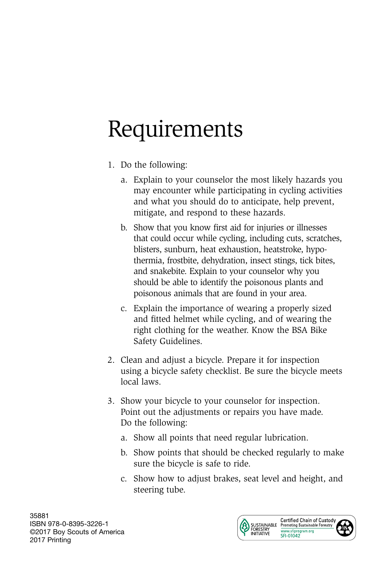## Requirements

- 1. Do the following:
	- a. Explain to your counselor the most likely hazards you may encounter while participating in cycling activities and what you should do to anticipate, help prevent, mitigate, and respond to these hazards.
	- b. Show that you know first aid for injuries or illnesses that could occur while cycling, including cuts, scratches, blisters, sunburn, heat exhaustion, heatstroke, hypothermia, frostbite, dehydration, insect stings, tick bites, and snakebite. Explain to your counselor why you should be able to identify the poisonous plants and poisonous animals that are found in your area.
	- c. Explain the importance of wearing a properly sized and fitted helmet while cycling, and of wearing the right clothing for the weather. Know the BSA Bike Safety Guidelines.
- 2. Clean and adjust a bicycle. Prepare it for inspection using a bicycle safety checklist. Be sure the bicycle meets local laws.
- 3. Show your bicycle to your counselor for inspection. Point out the adjustments or repairs you have made. Do the following:
	- a. Show all points that need regular lubrication.
	- b. Show points that should be checked regularly to make sure the bicycle is safe to ride.
	- c. Show how to adjust brakes, seat level and height, and steering tube.

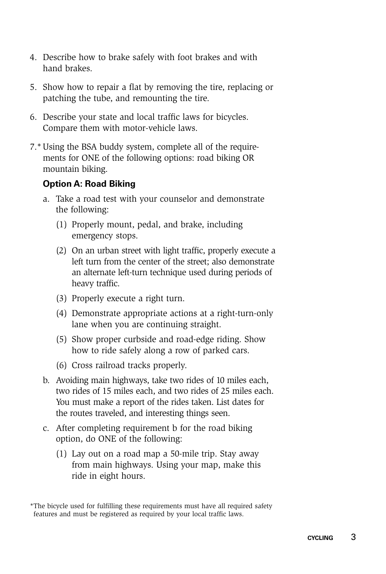- 4. Describe how to brake safely with foot brakes and with hand brakes.
- 5. Show how to repair a flat by removing the tire, replacing or patching the tube, and remounting the tire.
- 6. Describe your state and local traffic laws for bicycles. Compare them with motor-vehicle laws.
- 7.\*Using the BSA buddy system, complete all of the requirements for ONE of the following options: road biking OR mountain biking.

#### **Option A: Road Biking**

- a. Take a road test with your counselor and demonstrate the following:
	- (1) Properly mount, pedal, and brake, including emergency stops.
	- (2) On an urban street with light traffic, properly execute a left turn from the center of the street; also demonstrate an alternate left-turn technique used during periods of heavy traffic.
	- (3) Properly execute a right turn.
	- (4) Demonstrate appropriate actions at a right-turn-only lane when you are continuing straight.
	- (5) Show proper curbside and road-edge riding. Show how to ride safely along a row of parked cars.
	- (6) Cross railroad tracks properly.
- b. Avoiding main highways, take two rides of 10 miles each, two rides of 15 miles each, and two rides of 25 miles each. You must make a report of the rides taken. List dates for the routes traveled, and interesting things seen.
- c. After completing requirement b for the road biking option, do ONE of the following:
	- (1) Lay out on a road map a 50-mile trip. Stay away from main highways. Using your map, make this ride in eight hours.

<sup>\*</sup>The bicycle used for fulfilling these requirements must have all required safety features and must be registered as required by your local traffic laws.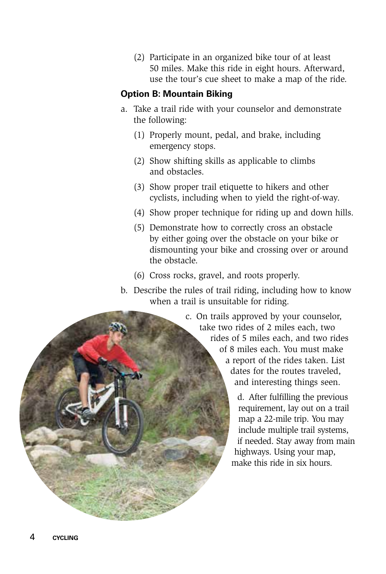(2) Participate in an organized bike tour of at least 50 miles. Make this ride in eight hours. Afterward, use the tour's cue sheet to make a map of the ride.

#### **Option B: Mountain Biking**

- a. Take a trail ride with your counselor and demonstrate the following:
	- (1) Properly mount, pedal, and brake, including emergency stops.
	- (2) Show shifting skills as applicable to climbs and obstacles.
	- (3) Show proper trail etiquette to hikers and other cyclists, including when to yield the right-of-way.
	- (4) Show proper technique for riding up and down hills.
	- (5) Demonstrate how to correctly cross an obstacle by either going over the obstacle on your bike or dismounting your bike and crossing over or around the obstacle.
	- (6) Cross rocks, gravel, and roots properly.
- b. Describe the rules of trail riding, including how to know when a trail is unsuitable for riding.

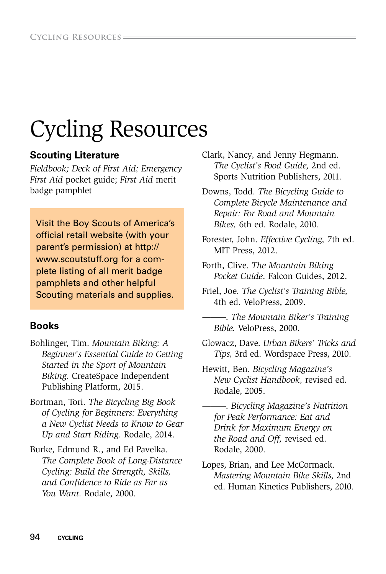### Cycling Resources

#### **Scouting Literature**

*Fieldbook; Deck of First Aid; Emergency First Aid* pocket guide; *First Aid* merit badge pamphlet

Visit the Boy Scouts of America's official retail website (with your parent's permission) at http:// www.scoutstuff.org for a complete listing of all merit badge pamphlets and other helpful Scouting materials and supplies.

#### **Books**

- Bohlinger, Tim. *Mountain Biking: A Beginner's Essential Guide to Getting Started in the Sport of Mountain Biking*. CreateSpace Independent Publishing Platform, 2015.
- Bortman, Tori. *The Bicycling Big Book of Cycling for Beginners: Everything a New Cyclist Needs to Know to Gear Up and Start Riding*. Rodale, 2014.
- Burke, Edmund R., and Ed Pavelka. *The Complete Book of Long-Distance Cycling: Build the Strength, Skills, and Confidence to Ride as Far as You Want.* Rodale, 2000.
- Clark, Nancy, and Jenny Hegmann. *The Cyclist's Food Guide,* 2nd ed. Sports Nutrition Publishers, 2011.
- Downs, Todd. *The Bicycling Guide to Complete Bicycle Maintenance and Repair: For Road and Mountain Bikes,* 6th ed. Rodale, 2010.
- Forester, John. *Effective Cycling,* 7th ed. MIT Press, 2012.
- Forth, Clive. *The Mountain Biking Pocket Guide*. Falcon Guides, 2012.
- Friel, Joe. *The Cyclist's Training Bible,*  4th ed. VeloPress, 2009.
	- ———. *The Mountain Biker's Training Bible.* VeloPress, 2000.
- Glowacz, Dave. *Urban Bikers' Tricks and Tips,* 3rd ed. Wordspace Press, 2010.
- Hewitt, Ben. *Bicycling Magazine's New Cyclist Handbook,* revised ed. Rodale, 2005.
	- ———. *Bicycling Magazine's Nutrition for Peak Performance: Eat and Drink for Maximum Energy on the Road and Off,* revised ed. Rodale, 2000.
- Lopes, Brian, and Lee McCormack. *Mastering Mountain Bike Skills,* 2nd ed. Human Kinetics Publishers, 2010.